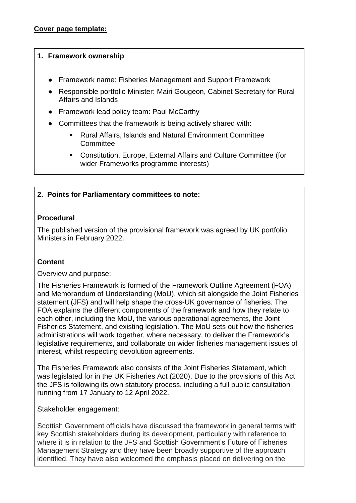### **1. Framework ownership**

- Framework name: Fisheries Management and Support Framework
- Responsible portfolio Minister: Mairi Gougeon, Cabinet Secretary for Rural Affairs and Islands
- Framework lead policy team: Paul McCarthy
- Committees that the framework is being actively shared with:
	- Rural Affairs, Islands and Natural Environment Committee **Committee**
	- **Constitution, Europe, External Affairs and Culture Committee (for** wider Frameworks programme interests)

# **2. Points for Parliamentary committees to note:**

# **Procedural**

The published version of the provisional framework was agreed by UK portfolio Ministers in February 2022.

## **Content**

Overview and purpose:

The Fisheries Framework is formed of the Framework Outline Agreement (FOA) and Memorandum of Understanding (MoU), which sit alongside the Joint Fisheries statement (JFS) and will help shape the cross-UK governance of fisheries. The FOA explains the different components of the framework and how they relate to each other, including the MoU, the various operational agreements, the Joint Fisheries Statement, and existing legislation. The MoU sets out how the fisheries administrations will work together, where necessary, to deliver the Framework's legislative requirements, and collaborate on wider fisheries management issues of interest, whilst respecting devolution agreements.

The Fisheries Framework also consists of the Joint Fisheries Statement, which was legislated for in the UK Fisheries Act (2020). Due to the provisions of this Act the JFS is following its own statutory process, including a full public consultation running from 17 January to 12 April 2022.

## Stakeholder engagement:

Scottish Government officials have discussed the framework in general terms with key Scottish stakeholders during its development, particularly with reference to where it is in relation to the JFS and Scottish Government's Future of Fisheries Management Strategy and they have been broadly supportive of the approach identified. They have also welcomed the emphasis placed on delivering on the